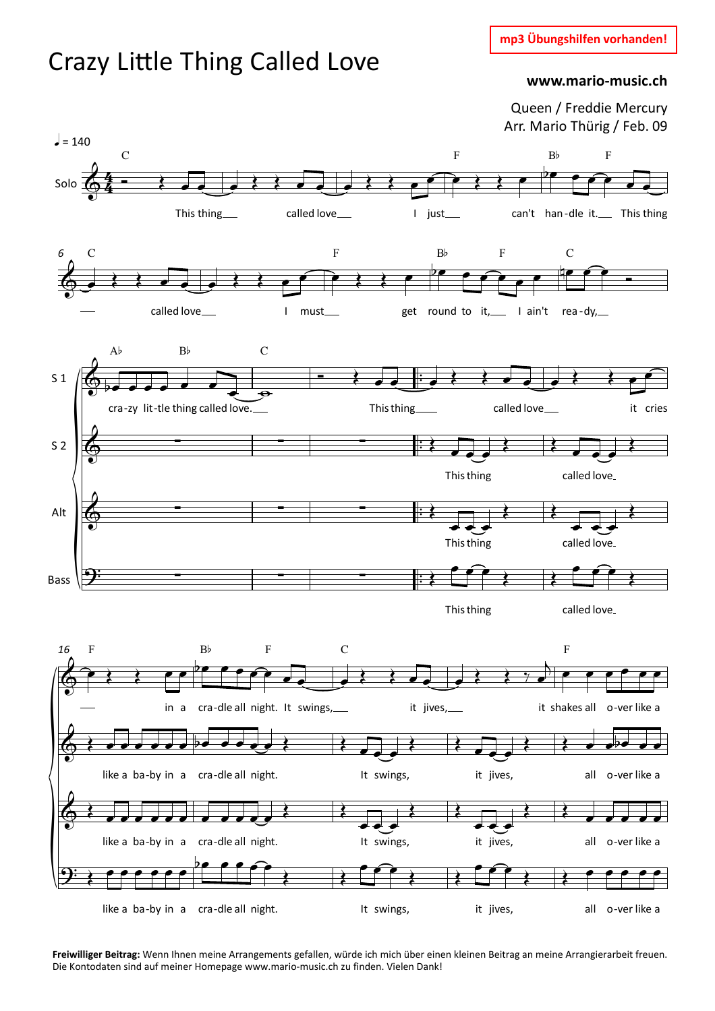**mp3 Übungshilfen vorhanden!**

## Crazy Little Thing Called Love

## **www.mario-music.ch**

Queen / Freddie Mercury Arr. Mario Thürig / Feb. 09



**Freiwilliger Beitrag:** Wenn Ihnen meine Arrangements gefallen, würde ich mich über einen kleinen Beitrag an meine Arrangierarbeit freuen. Die Kontodaten sind auf meiner Homepage www.mario-music.ch zu finden. Vielen Dank!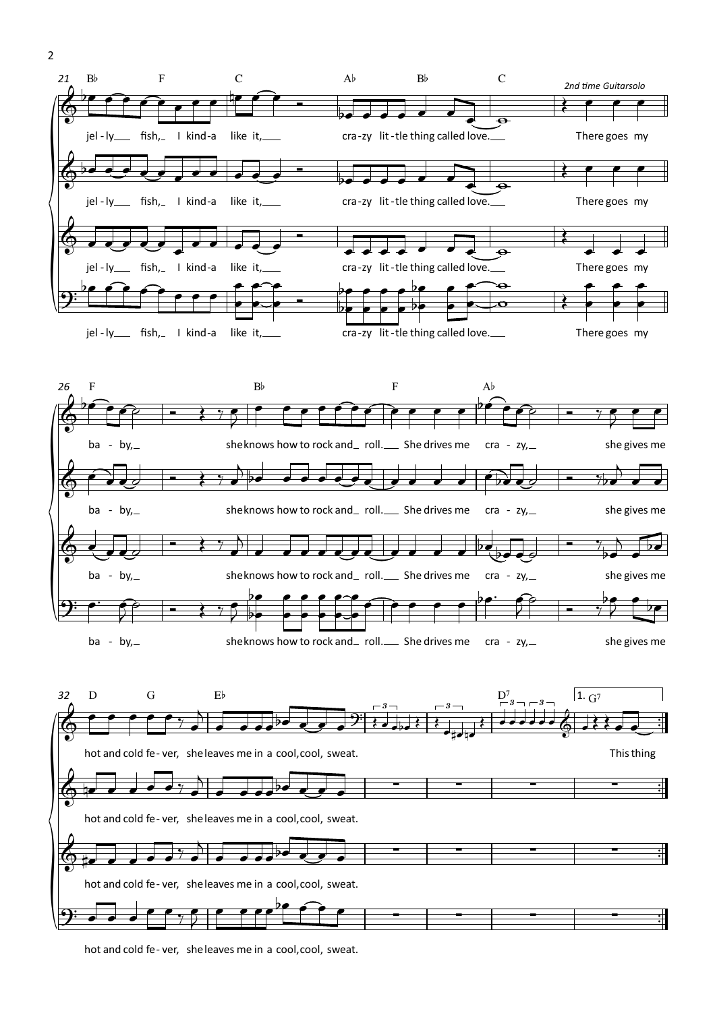

hot and cold fe- ver, sheleaves me in a cool,cool, sweat.

2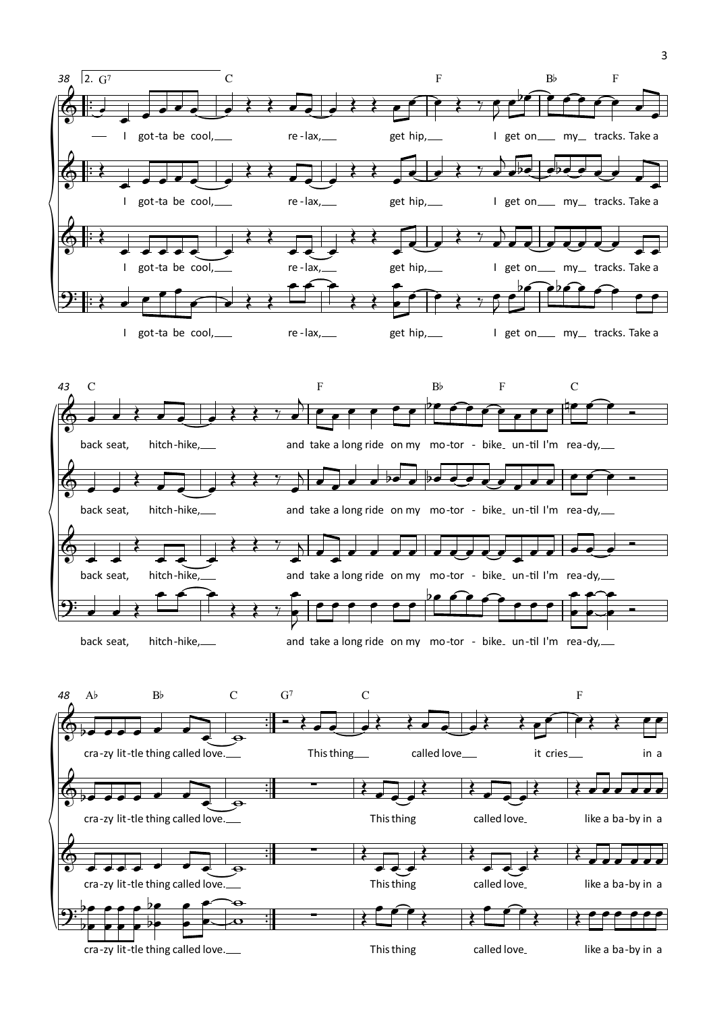